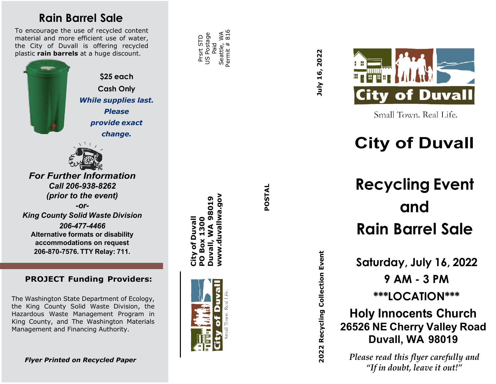### **Rain Barrel Sale**

To encourage the use of recycled content material and more efficient use of water, the City of Duvall is offering recycled plastic **rain barrels** at a huge discount.

> **\$25 each Cash Only** *While supplies last. Please provide exact change.*



*For Further Information Call 206 -938 -8262 (prior to the event) -or-King County Solid Waste Division 206 -477-4466* **Alternative formats or disability accommodations on request** 

**206 -870 -7576. TTY Relay: 711.**

#### **PROJECT Funding Providers :**

The Washington State Department of Ecology, the King County Solid Waste Division, the Hazardous Waste Management Program in King County, and The Washington Materials Management and Financing Authority.

*Flyer Printed on Recycled Paper*

 $\frac{816}{816}$ Permit # 816 US Postage US Postage Seattle, WA Prsrt STD Prsrt STD Paid Seattle, Permit

> **POSTAL** POSTAL



**City of Duvall** 

City of Duvall

**WA 98019** 

July 16, 2022 **2022 Recycling Collection Event July 16, 2022**

2022 Recycling Collection Event



Small Town. Real Life.

## **City of Duvall**

# **Recycling Event and Rain Barrel Sale**

**Saturday, July 16, 2022**

**9 AM - 3 PM**

**\*\*\*LOCATION\*\*\***

**Holy Innocents Church 26526 NE Cherry Valley Road Duvall, WA 98019**

*Please read this flyer carefully and "If in doubt, leave it out!"*